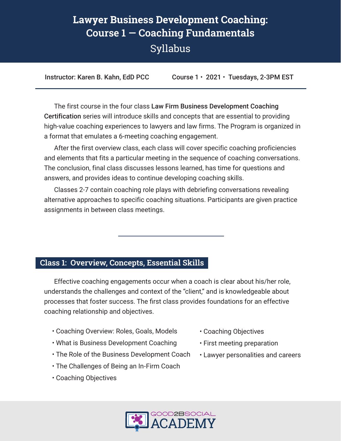# **Lawyer Business Development Coaching: Course 1 — Coaching Fundamentals** Syllabus

Instructor: Karen B. Kahn, EdD PCC Course 1 · 2021 · Tuesdays, 2-3PM EST

The first course in the four class Law Firm Business Development Coaching Certification series will introduce skills and concepts that are essential to providing high-value coaching experiences to lawyers and law firms. The Program is organized in a format that emulates a 6-meeting coaching engagement.

After the first overview class, each class will cover specific coaching proficiencies and elements that fits a particular meeting in the sequence of coaching conversations. The conclusion, final class discusses lessons learned, has time for questions and answers, and provides ideas to continue developing coaching skills.

Classes 2-7 contain coaching role plays with debriefing conversations revealing alternative approaches to specific coaching situations. Participants are given practice assignments in between class meetings.

#### **Class 1: Overview, Concepts, Essential Skills**

Effective coaching engagements occur when a coach is clear about his/her role, understands the challenges and context of the "client," and is knowledgeable about processes that foster success. The first class provides foundations for an effective coaching relationship and objectives.

- Coaching Overview: Roles, Goals, Models
- What is Business Development Coaching
- The Role of the Business Development Coach
- The Challenges of Being an In-Firm Coach
- Coaching Objectives
- Coaching Objectives
- First meeting preparation
- Lawyer personalities and careers

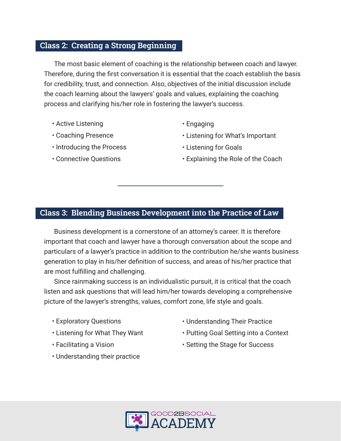#### **Class 2: Creating a Strong Beginning**

The most basic element of coaching is the relationship between coach and lawyer. Therefore, during the first conversation it is essential that the coach establish the basis for credibility, trust, and connection. Also, objectives of the initial discussion include the coach learning about the lawyers' goals and values, explaining the coaching process and clarifying his/her role in fostering the lawyer's success.

- Active Listening
- Coaching Presence
- Introducing the Process
- Connective Questions
- Engaging
- Listening for What's Important
- Listening for Goals
- Explaining the Role of the Coach

## **Class 3: Blending Business Development into the Practice of Law**

Business development is a cornerstone of an attorney's career. It is therefore important that coach and lawyer have a thorough conversation about the scope and particulars of a lawyer's practice in addition to the contribution he/she wants business generation to play in his/her definition of success, and areas of his/her practice that are most fulfilling and challenging.

Since rainmaking success is an individualistic pursuit, it is critical that the coach listen and ask questions that will lead him/her towards developing a comprehensive picture of the lawyer's strengths, values, comfort zone, life style and goals.

- Exploratory Questions
- Listening for What They Want
- Facilitating a Vision
- Understanding their practice
- Understanding Their Practice
- Putting Goal Setting into a Context
- Setting the Stage for Success

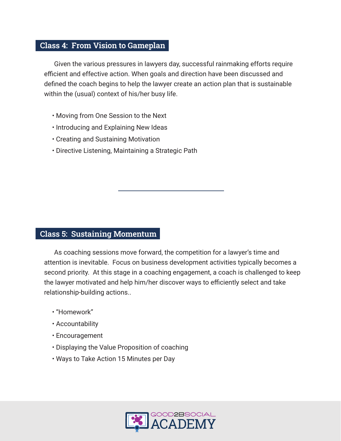#### **Class 4: From Vision to Gameplan**

Given the various pressures in lawyers day, successful rainmaking efforts require efficient and effective action. When goals and direction have been discussed and defined the coach begins to help the lawyer create an action plan that is sustainable within the (usual) context of his/her busy life.

- Moving from One Session to the Next
- Introducing and Explaining New Ideas
- Creating and Sustaining Motivation
- Directive Listening, Maintaining a Strategic Path

#### **Class 5: Sustaining Momentum**

As coaching sessions move forward, the competition for a lawyer's time and attention is inevitable. Focus on business development activities typically becomes a second priority. At this stage in a coaching engagement, a coach is challenged to keep the lawyer motivated and help him/her discover ways to efficiently select and take relationship-building actions..

- "Homework"
- Accountability
- Encouragement
- Displaying the Value Proposition of coaching
- Ways to Take Action 15 Minutes per Day